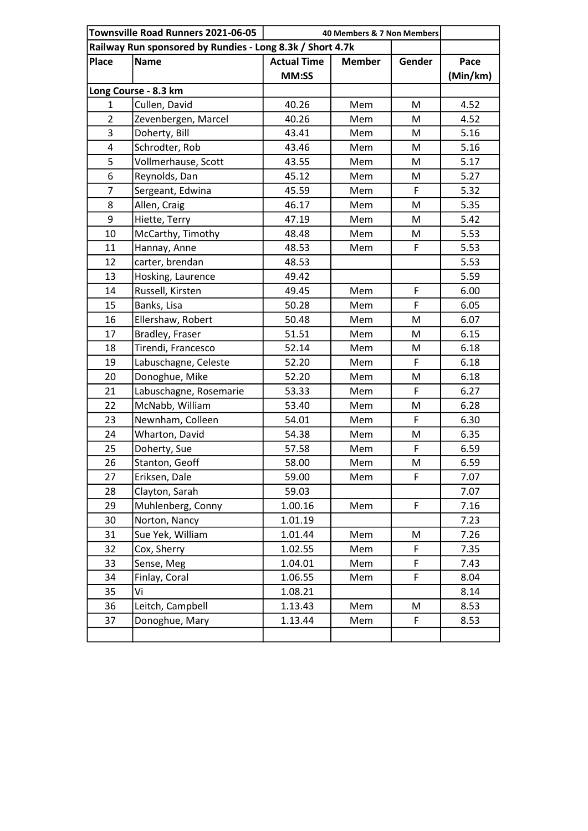| Townsville Road Runners 2021-06-05<br>40 Members & 7 Non Members |                        |                    |               |        |          |  |
|------------------------------------------------------------------|------------------------|--------------------|---------------|--------|----------|--|
| Railway Run sponsored by Rundies - Long 8.3k / Short 4.7k        |                        |                    |               |        |          |  |
| <b>Place</b>                                                     | <b>Name</b>            | <b>Actual Time</b> | <b>Member</b> | Gender | Pace     |  |
|                                                                  |                        | MM:SS              |               |        | (Min/km) |  |
|                                                                  | Long Course - 8.3 km   |                    |               |        |          |  |
| 1                                                                | Cullen, David          | 40.26              | Mem           | M      | 4.52     |  |
| $\overline{2}$                                                   | Zevenbergen, Marcel    | 40.26              | Mem           | M      | 4.52     |  |
| 3                                                                | Doherty, Bill          | 43.41              | Mem           | M      | 5.16     |  |
| $\overline{4}$                                                   | Schrodter, Rob         | 43.46              | Mem           | M      | 5.16     |  |
| 5                                                                | Vollmerhause, Scott    | 43.55              | Mem           | M      | 5.17     |  |
| 6                                                                | Reynolds, Dan          | 45.12              | Mem           | M      | 5.27     |  |
| $\overline{7}$                                                   | Sergeant, Edwina       | 45.59              | Mem           | F      | 5.32     |  |
| 8                                                                | Allen, Craig           | 46.17              | Mem           | M      | 5.35     |  |
| 9                                                                | Hiette, Terry          | 47.19              | Mem           | M      | 5.42     |  |
| 10                                                               | McCarthy, Timothy      | 48.48              | Mem           | M      | 5.53     |  |
| 11                                                               | Hannay, Anne           | 48.53              | Mem           | F      | 5.53     |  |
| 12                                                               | carter, brendan        | 48.53              |               |        | 5.53     |  |
| 13                                                               | Hosking, Laurence      | 49.42              |               |        | 5.59     |  |
| 14                                                               | Russell, Kirsten       | 49.45              | Mem           | F      | 6.00     |  |
| 15                                                               | Banks, Lisa            | 50.28              | Mem           | F      | 6.05     |  |
| 16                                                               | Ellershaw, Robert      | 50.48              | Mem           | M      | 6.07     |  |
| 17                                                               | Bradley, Fraser        | 51.51              | Mem           | M      | 6.15     |  |
| 18                                                               | Tirendi, Francesco     | 52.14              | Mem           | M      | 6.18     |  |
| 19                                                               | Labuschagne, Celeste   | 52.20              | Mem           | F      | 6.18     |  |
| 20                                                               | Donoghue, Mike         | 52.20              | Mem           | M      | 6.18     |  |
| 21                                                               | Labuschagne, Rosemarie | 53.33              | Mem           | F      | 6.27     |  |
| 22                                                               | McNabb, William        | 53.40              | Mem           | M      | 6.28     |  |
| 23                                                               | Newnham, Colleen       | 54.01              | Mem           | F      | 6.30     |  |
| 24                                                               | Wharton, David         | 54.38              | Mem           | M      | 6.35     |  |
| 25                                                               | Doherty, Sue           | 57.58              | Mem           | F      | 6.59     |  |
| 26                                                               | Stanton, Geoff         | 58.00              | Mem           | M      | 6.59     |  |
| 27                                                               | Eriksen, Dale          | 59.00              | Mem           | F      | 7.07     |  |
| 28                                                               | Clayton, Sarah         | 59.03              |               |        | 7.07     |  |
| 29                                                               | Muhlenberg, Conny      | 1.00.16            | Mem           | F      | 7.16     |  |
| 30                                                               | Norton, Nancy          | 1.01.19            |               |        | 7.23     |  |
| 31                                                               | Sue Yek, William       | 1.01.44            | Mem           | M      | 7.26     |  |
| 32                                                               | Cox, Sherry            | 1.02.55            | Mem           | F      | 7.35     |  |
| 33                                                               | Sense, Meg             | 1.04.01            | Mem           | F      | 7.43     |  |
| 34                                                               | Finlay, Coral          | 1.06.55            | Mem           | F      | 8.04     |  |
| 35                                                               | Vi                     | 1.08.21            |               |        | 8.14     |  |
| 36                                                               | Leitch, Campbell       | 1.13.43            | Mem           | M      | 8.53     |  |
| 37                                                               | Donoghue, Mary         | 1.13.44            | Mem           | F      | 8.53     |  |
|                                                                  |                        |                    |               |        |          |  |